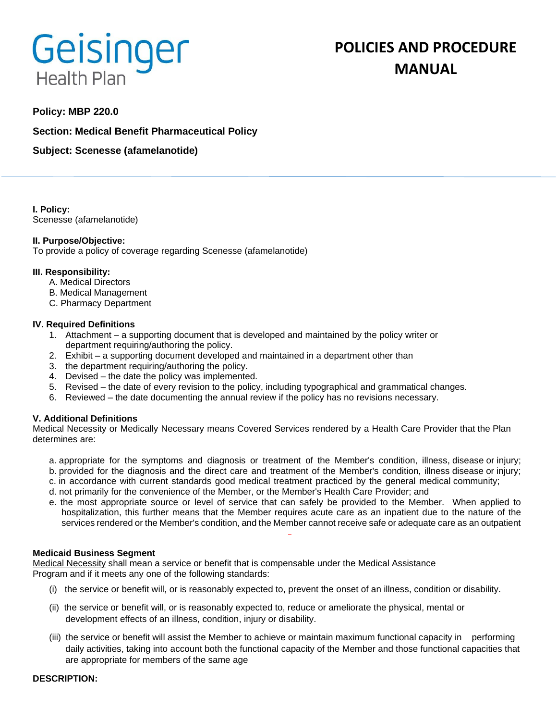# Geisinger **Health Plan**

# **POLICIES AND PROCEDURE MANUAL**

# **Policy: MBP 220.0**

**Section: Medical Benefit Pharmaceutical Policy**

**Subject: Scenesse (afamelanotide)**

**I. Policy:** Scenesse (afamelanotide)

# **II. Purpose/Objective:**

To provide a policy of coverage regarding Scenesse (afamelanotide)

# **III. Responsibility:**

- A. Medical Directors
- B. Medical Management
- C. Pharmacy Department

# **IV. Required Definitions**

- 1. Attachment a supporting document that is developed and maintained by the policy writer or department requiring/authoring the policy.
- 2. Exhibit a supporting document developed and maintained in a department other than
- 3. the department requiring/authoring the policy.
- 4. Devised the date the policy was implemented.
- 5. Revised the date of every revision to the policy, including typographical and grammatical changes.
- 6. Reviewed the date documenting the annual review if the policy has no revisions necessary.

# **V. Additional Definitions**

Medical Necessity or Medically Necessary means Covered Services rendered by a Health Care Provider that the Plan determines are:

- a. appropriate for the symptoms and diagnosis or treatment of the Member's condition, illness, disease or injury; b. provided for the diagnosis and the direct care and treatment of the Member's condition, illness disease or injury;
- c. in accordance with current standards good medical treatment practiced by the general medical community;
- d. not primarily for the convenience of the Member, or the Member's Health Care Provider; and
- e. the most appropriate source or level of service that can safely be provided to the Member. When applied to hospitalization, this further means that the Member requires acute care as an inpatient due to the nature of the services rendered or the Member's condition, and the Member cannot receive safe or adequate care as an outpatient

#### **Medicaid Business Segment**

Medical Necessity shall mean a service or benefit that is compensable under the Medical Assistance Program and if it meets any one of the following standards:

- (i) the service or benefit will, or is reasonably expected to, prevent the onset of an illness, condition or disability.
- (ii) the service or benefit will, or is reasonably expected to, reduce or ameliorate the physical, mental or development effects of an illness, condition, injury or disability.
- (iii) the service or benefit will assist the Member to achieve or maintain maximum functional capacity in performing daily activities, taking into account both the functional capacity of the Member and those functional capacities that are appropriate for members of the same age

#### **DESCRIPTION:**